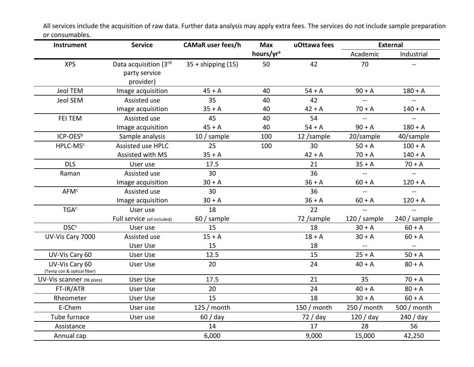| Instrument                                   | <b>Service</b>              | <b>CAMaR</b> user fees/h | <b>Max</b><br>hours/yr <sup>a</sup> | uOttawa fees | <b>External</b> |               |
|----------------------------------------------|-----------------------------|--------------------------|-------------------------------------|--------------|-----------------|---------------|
|                                              |                             |                          |                                     |              | Academic        | Industrial    |
| <b>XPS</b>                                   | Data acquisition (3rd       | $35 +$ shipping (15)     | 50                                  | 42           | 70              |               |
|                                              | party service               |                          |                                     |              |                 |               |
|                                              | provider)                   |                          |                                     |              |                 |               |
| Jeol TEM                                     | Image acquisition           | $45 + A$                 | 40                                  | $54 + A$     | $90 + A$        | $180 + A$     |
| Jeol SEM                                     | Assisted use                | 35                       | 40                                  | 42           | $\sim$          | $\mathbf{L}$  |
|                                              | Image acquisition           | $35 + A$                 | 40                                  | $42 + A$     | $70 + A$        | $140 + A$     |
| FEI TEM                                      | Assisted use                | 45                       | 40                                  | 54           |                 | $\equiv$      |
|                                              | Image acquisition           | $45 + A$                 | 40                                  | $54 + A$     | $90 + A$        | $180 + A$     |
| ICP-OES <sup>b</sup>                         | Sample analysis             | 10 / sample              | 100                                 | 12 /sample   | 20/sample       | 40/sample     |
| HPLC-MSC                                     | Assisted use HPLC           | 25                       | 100                                 | 30           | $50 + A$        | $100 + A$     |
|                                              | Assisted with MS            | $35 + A$                 |                                     | $42 + A$     | $70 + A$        | $140 + A$     |
| <b>DLS</b>                                   | User use                    | 17.5                     |                                     | 21           | $35 + A$        | $70 + A$      |
| Raman                                        | Assisted use                | 30                       |                                     | 36           |                 |               |
|                                              | Image acquisition           | $30 + A$                 |                                     | $36 + A$     | $60 + A$        | $120 + A$     |
| AFM <sup>c</sup>                             | Assisted use                | 30                       |                                     | 36           | $\mathbf{u}$    | $\sim$ $\sim$ |
|                                              | Image acquisition           | $30 + A$                 |                                     | $36 + A$     | $60 + A$        | $120 + A$     |
| <b>TGA<sup>c</sup></b>                       | User use                    | 18                       |                                     | 22           |                 | $-$           |
|                                              | Full service (all included) | 60 / sample              |                                     | 72 /sample   | $120/$ sample   | $240/$ sample |
| <b>DSC<sup>c</sup></b>                       | User use                    | 15                       |                                     | 18           | $30 + A$        | $60 + A$      |
| UV-Vis Cary 7000                             | Assisted use                | $15 + A$                 |                                     | $18 + A$     | $30 + A$        | $60 + A$      |
|                                              | User Use                    | 15                       |                                     | 18           | $\sim$ $\sim$   | $\mathbf{u}$  |
| UV-Vis Cary 60                               | User Use                    | 12.5                     |                                     | 15           | $25 + A$        | $50 + A$      |
| UV-Vis Cary 60<br>(Temp con & optical fiber) | User Use                    | 20                       |                                     | 24           | $40 + A$        | $80 + A$      |
| UV-Vis scanner (96 plate)                    | User Use                    | 17.5                     |                                     | 21           | 35              | $70 + A$      |
| FT-IR/ATR                                    | User Use                    | 20                       |                                     | 24           | $40 + A$        | $80 + A$      |
| Rheometer                                    | User Use                    | 15                       |                                     | 18           | $30 + A$        | $60 + A$      |
| E-Chem                                       | User use                    | 125 / month              |                                     | 150 / month  | 250 / month     | 500 / month   |
| Tube furnace                                 | User use                    | 60 / day                 |                                     | 72 / day     | 120/day         | 240 / day     |
| Assistance                                   |                             | 14                       |                                     | 17           | 28              | 56            |
| Annual cap                                   |                             | 6,000                    |                                     | 9,000        | 15,000          | 42,250        |

All services include the acquisition of raw data. Further data analysis may apply extra fees. The services do not include sample preparation or consumables.